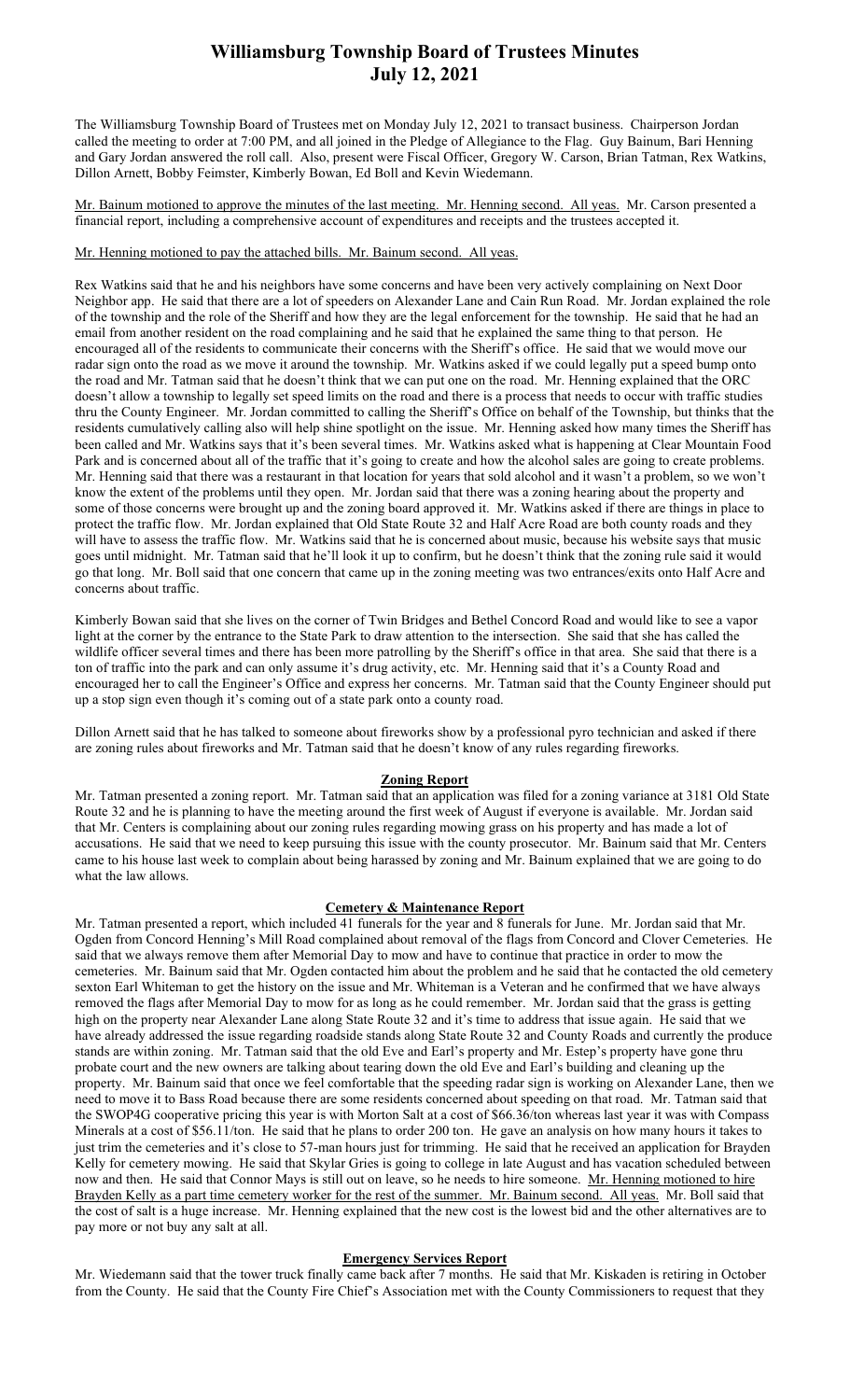## Williamsburg Township Board of Trustees Minutes July 12, 2021

The Williamsburg Township Board of Trustees met on Monday July 12, 2021 to transact business. Chairperson Jordan called the meeting to order at 7:00 PM, and all joined in the Pledge of Allegiance to the Flag. Guy Bainum, Bari Henning and Gary Jordan answered the roll call. Also, present were Fiscal Officer, Gregory W. Carson, Brian Tatman, Rex Watkins, Dillon Arnett, Bobby Feimster, Kimberly Bowan, Ed Boll and Kevin Wiedemann.

Mr. Bainum motioned to approve the minutes of the last meeting. Mr. Henning second. All yeas. Mr. Carson presented a financial report, including a comprehensive account of expenditures and receipts and the trustees accepted it.

Mr. Henning motioned to pay the attached bills. Mr. Bainum second. All yeas.

Rex Watkins said that he and his neighbors have some concerns and have been very actively complaining on Next Door Neighbor app. He said that there are a lot of speeders on Alexander Lane and Cain Run Road. Mr. Jordan explained the role of the township and the role of the Sheriff and how they are the legal enforcement for the township. He said that he had an email from another resident on the road complaining and he said that he explained the same thing to that person. He encouraged all of the residents to communicate their concerns with the Sheriff's office. He said that we would move our radar sign onto the road as we move it around the township. Mr. Watkins asked if we could legally put a speed bump onto the road and Mr. Tatman said that he doesn't think that we can put one on the road. Mr. Henning explained that the ORC doesn't allow a township to legally set speed limits on the road and there is a process that needs to occur with traffic studies thru the County Engineer. Mr. Jordan committed to calling the Sheriff's Office on behalf of the Township, but thinks that the residents cumulatively calling also will help shine spotlight on the issue. Mr. Henning asked how many times the Sheriff has been called and Mr. Watkins says that it's been several times. Mr. Watkins asked what is happening at Clear Mountain Food Park and is concerned about all of the traffic that it's going to create and how the alcohol sales are going to create problems. Mr. Henning said that there was a restaurant in that location for years that sold alcohol and it wasn't a problem, so we won't know the extent of the problems until they open. Mr. Jordan said that there was a zoning hearing about the property and some of those concerns were brought up and the zoning board approved it. Mr. Watkins asked if there are things in place to protect the traffic flow. Mr. Jordan explained that Old State Route 32 and Half Acre Road are both county roads and they will have to assess the traffic flow. Mr. Watkins said that he is concerned about music, because his website says that music goes until midnight. Mr. Tatman said that he'll look it up to confirm, but he doesn't think that the zoning rule said it would go that long. Mr. Boll said that one concern that came up in the zoning meeting was two entrances/exits onto Half Acre and concerns about traffic.

Kimberly Bowan said that she lives on the corner of Twin Bridges and Bethel Concord Road and would like to see a vapor light at the corner by the entrance to the State Park to draw attention to the intersection. She said that she has called the wildlife officer several times and there has been more patrolling by the Sheriff's office in that area. She said that there is a ton of traffic into the park and can only assume it's drug activity, etc. Mr. Henning said that it's a County Road and encouraged her to call the Engineer's Office and express her concerns. Mr. Tatman said that the County Engineer should put up a stop sign even though it's coming out of a state park onto a county road.

Dillon Arnett said that he has talked to someone about fireworks show by a professional pyro technician and asked if there are zoning rules about fireworks and Mr. Tatman said that he doesn't know of any rules regarding fireworks.

### Zoning Report

Mr. Tatman presented a zoning report. Mr. Tatman said that an application was filed for a zoning variance at 3181 Old State Route 32 and he is planning to have the meeting around the first week of August if everyone is available. Mr. Jordan said that Mr. Centers is complaining about our zoning rules regarding mowing grass on his property and has made a lot of accusations. He said that we need to keep pursuing this issue with the county prosecutor. Mr. Bainum said that Mr. Centers came to his house last week to complain about being harassed by zoning and Mr. Bainum explained that we are going to do what the law allows.

### Cemetery & Maintenance Report

Mr. Tatman presented a report, which included 41 funerals for the year and 8 funerals for June. Mr. Jordan said that Mr. Ogden from Concord Henning's Mill Road complained about removal of the flags from Concord and Clover Cemeteries. He said that we always remove them after Memorial Day to mow and have to continue that practice in order to mow the cemeteries. Mr. Bainum said that Mr. Ogden contacted him about the problem and he said that he contacted the old cemetery sexton Earl Whiteman to get the history on the issue and Mr. Whiteman is a Veteran and he confirmed that we have always removed the flags after Memorial Day to mow for as long as he could remember. Mr. Jordan said that the grass is getting high on the property near Alexander Lane along State Route 32 and it's time to address that issue again. He said that we have already addressed the issue regarding roadside stands along State Route 32 and County Roads and currently the produce stands are within zoning. Mr. Tatman said that the old Eve and Earl's property and Mr. Estep's property have gone thru probate court and the new owners are talking about tearing down the old Eve and Earl's building and cleaning up the property. Mr. Bainum said that once we feel comfortable that the speeding radar sign is working on Alexander Lane, then we need to move it to Bass Road because there are some residents concerned about speeding on that road. Mr. Tatman said that the SWOP4G cooperative pricing this year is with Morton Salt at a cost of \$66.36/ton whereas last year it was with Compass Minerals at a cost of \$56.11/ton. He said that he plans to order 200 ton. He gave an analysis on how many hours it takes to just trim the cemeteries and it's close to 57-man hours just for trimming. He said that he received an application for Brayden Kelly for cemetery mowing. He said that Skylar Gries is going to college in late August and has vacation scheduled between now and then. He said that Connor Mays is still out on leave, so he needs to hire someone. Mr. Henning motioned to hire Brayden Kelly as a part time cemetery worker for the rest of the summer. Mr. Bainum second. All yeas. Mr. Boll said that the cost of salt is a huge increase. Mr. Henning explained that the new cost is the lowest bid and the other alternatives are to pay more or not buy any salt at all.

#### Emergency Services Report

Mr. Wiedemann said that the tower truck finally came back after 7 months. He said that Mr. Kiskaden is retiring in October from the County. He said that the County Fire Chief's Association met with the County Commissioners to request that they